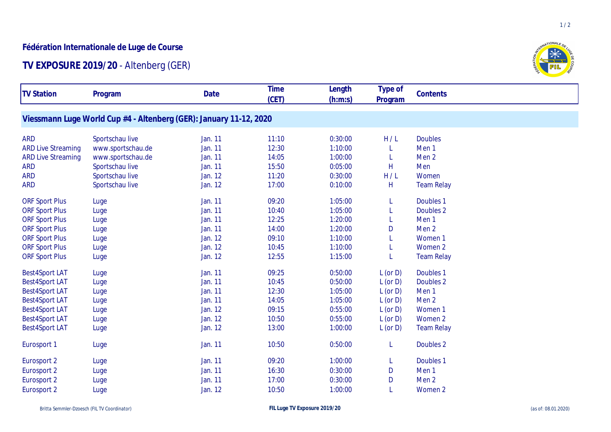## **Fédération Internationale de Luge de Course**

## **TV EXPOSURE 2019/20** - Altenberg (GER)

| <b>TV Station</b>         | Program                                                            | Date           | <b>Time</b> | Length  | Type of       | Contents          |
|---------------------------|--------------------------------------------------------------------|----------------|-------------|---------|---------------|-------------------|
|                           |                                                                    |                | (CET)       | (h:m:s) | Program       |                   |
|                           |                                                                    |                |             |         |               |                   |
|                           | Viessmann Luge World Cup #4 - Altenberg (GER): January 11-12, 2020 |                |             |         |               |                   |
| <b>ARD</b>                | Sportschau live                                                    | Jan. 11        | 11:10       | 0:30:00 | H/L           | <b>Doubles</b>    |
| <b>ARD Live Streaming</b> | www.sportschau.de                                                  | Jan. 11        | 12:30       | 1:10:00 |               | Men <sub>1</sub>  |
| <b>ARD Live Streaming</b> | www.sportschau.de                                                  | Jan. 11        | 14:05       | 1:00:00 |               | Men <sub>2</sub>  |
| <b>ARD</b>                | Sportschau live                                                    | Jan. 11        | 15:50       | 0:05:00 | Н             | Men               |
| <b>ARD</b>                | Sportschau live                                                    | <b>Jan. 12</b> | 11:20       | 0:30:00 | H/L           | Women             |
| <b>ARD</b>                | Sportschau live                                                    | Jan. 12        | 17:00       | 0:10:00 | H             | <b>Team Relay</b> |
|                           |                                                                    |                |             |         |               |                   |
| <b>ORF Sport Plus</b>     | Luge                                                               | Jan. 11        | 09:20       | 1:05:00 |               | Doubles 1         |
| <b>ORF Sport Plus</b>     | Luge                                                               | Jan. 11        | 10:40       | 1:05:00 |               | Doubles 2         |
| <b>ORF Sport Plus</b>     | Luge                                                               | Jan. 11        | 12:25       | 1:20:00 |               | Men <sub>1</sub>  |
| <b>ORF Sport Plus</b>     | Luge                                                               | Jan. 11        | 14:00       | 1:20:00 | D             | Men <sub>2</sub>  |
| <b>ORF Sport Plus</b>     | Luge                                                               | Jan. 12        | 09:10       | 1:10:00 |               | Women 1           |
| <b>ORF Sport Plus</b>     | Luge                                                               | Jan. 12        | 10:45       | 1:10:00 |               | Women 2           |
| <b>ORF Sport Plus</b>     | Luge                                                               | Jan. 12        | 12:55       | 1:15:00 |               | <b>Team Relay</b> |
| <b>Best4Sport LAT</b>     | Luge                                                               | Jan. 11        | 09:25       | 0:50:00 | $L$ (or $D$ ) | Doubles 1         |
| <b>Best4Sport LAT</b>     | Luge                                                               | Jan. 11        | 10:45       | 0:50:00 | $L$ (or $D$ ) | Doubles 2         |
| <b>Best4Sport LAT</b>     | Luge                                                               | Jan. 11        | 12:30       | 1:05:00 | $L$ (or $D$ ) | Men <sub>1</sub>  |
| <b>Best4Sport LAT</b>     | Luge                                                               | Jan. 11        | 14:05       | 1:05:00 | $L$ (or $D$ ) | Men <sub>2</sub>  |
| <b>Best4Sport LAT</b>     | Luge                                                               | <b>Jan. 12</b> | 09:15       | 0:55:00 | $L$ (or $D$ ) | Women 1           |
| <b>Best4Sport LAT</b>     | Luge                                                               | Jan. 12        | 10:50       | 0:55:00 | $L$ (or $D$ ) | Women 2           |
| <b>Best4Sport LAT</b>     | Luge                                                               | Jan. 12        | 13:00       | 1:00:00 | $L$ (or $D$ ) | <b>Team Relay</b> |
| Eurosport 1               | Luge                                                               | Jan. 11        | 10:50       | 0:50:00 | L             | Doubles 2         |
| Eurosport 2               | Luge                                                               | Jan. 11        | 09:20       | 1:00:00 | L             | Doubles 1         |
| Eurosport 2               | Luge                                                               | Jan. 11        | 16:30       | 0:30:00 | D             | Men <sub>1</sub>  |
| Eurosport 2               | Luge                                                               | Jan. 11        | 17:00       | 0:30:00 | D             | Men <sub>2</sub>  |
| Eurosport 2               | Luge                                                               | Jan. 12        | 10:50       | 1:00:00 |               | Women 2           |
|                           |                                                                    |                |             |         |               |                   |



 $1/2$